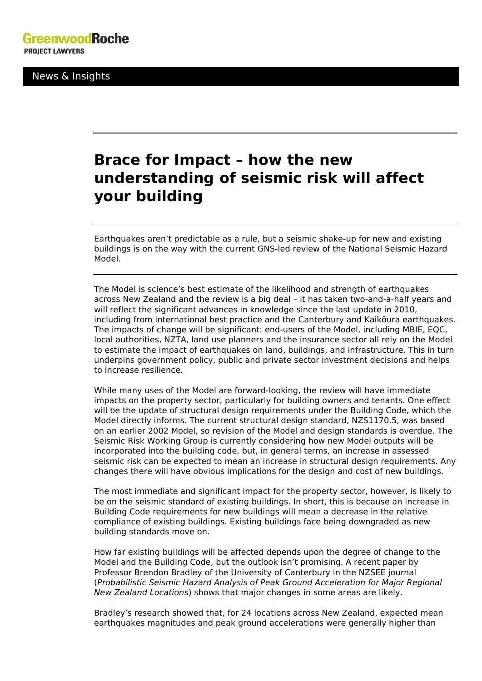News & Insights

## **Brace for Impact – how the new understanding of seismic risk will affect your building**

Earthquakes aren't predictable as a rule, but a seismic shake-up for new and existing buildings is on the way with the current GNS-led review of the National Seismic Hazard Model.

The Model is science's best estimate of the likelihood and strength of earthquakes across New Zealand and the review is a big deal – it has taken two-and-a-half years and will reflect the significant advances in knowledge since the last update in 2010, including from international best practice and the Canterbury and Kaikōura earthquakes. The impacts of change will be significant: end-users of the Model, including MBIE, EQC, local authorities, NZTA, land use planners and the insurance sector all rely on the Model to estimate the impact of earthquakes on land, buildings, and infrastructure. This in turn underpins government policy, public and private sector investment decisions and helps to increase resilience.

While many uses of the Model are forward-looking, the review will have immediate impacts on the property sector, particularly for building owners and tenants. One effect will be the update of structural design requirements under the Building Code, which the Model directly informs. The current structural design standard, NZS1170.5, was based on an earlier 2002 Model, so revision of the Model and design standards is overdue. The Seismic Risk Working Group is currently considering how new Model outputs will be incorporated into the building code, but, in general terms, an increase in assessed seismic risk can be expected to mean an increase in structural design requirements. Any changes there will have obvious implications for the design and cost of new buildings.

The most immediate and significant impact for the property sector, however, is likely to be on the seismic standard of existing buildings. In short, this is because an increase in Building Code requirements for new buildings will mean a decrease in the relative compliance of existing buildings. Existing buildings face being downgraded as new building standards move on.

How far existing buildings will be affected depends upon the degree of change to the Model and the Building Code, but the outlook isn't promising. A recent paper by Professor Brendon Bradley of the University of Canterbury in the NZSEE journal (*Probabilistic Seismic Hazard Analysis of Peak Ground Acceleration for Major Regional New Zealand Locations*) shows that major changes in some areas are likely.

Bradley's research showed that, for 24 locations across New Zealand, expected mean earthquakes magnitudes and peak ground accelerations were generally higher than